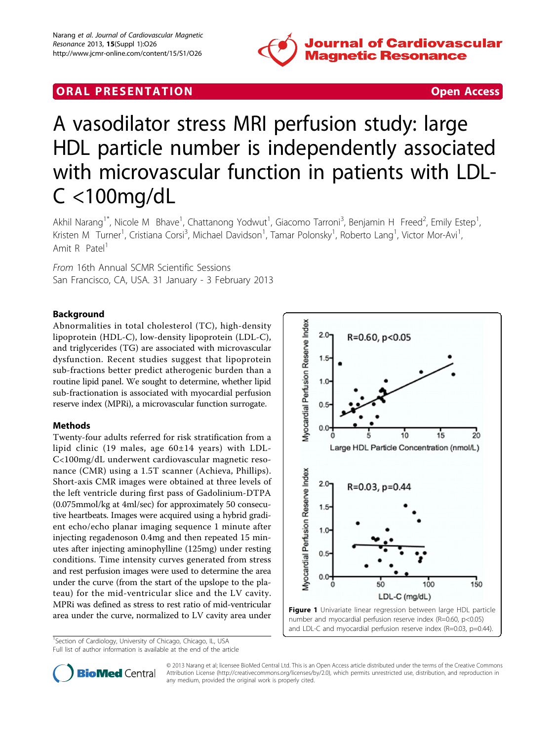

# **ORAL PRESENTATION CONSUMING ACCESS**

# A vasodilator stress MRI perfusion study: large HDL particle number is independently associated with microvascular function in patients with LDL-C <100mg/dL

Akhil Narang<sup>1\*</sup>, Nicole M Bhave<sup>1</sup>, Chattanong Yodwut<sup>1</sup>, Giacomo Tarroni<sup>3</sup>, Benjamin H Freed<sup>2</sup>, Emily Estep<sup>1</sup> , Kristen M Turner<sup>1</sup>, Cristiana Corsi<sup>3</sup>, Michael Davidson<sup>1</sup>, Tamar Polonsky<sup>1</sup>, Roberto Lang<sup>1</sup>, Victor Mor-Avi<sup>1</sup> , Amit R Patel<sup>1</sup>

From 16th Annual SCMR Scientific Sessions San Francisco, CA, USA. 31 January - 3 February 2013

# Background

Abnormalities in total cholesterol (TC), high-density lipoprotein (HDL-C), low-density lipoprotein (LDL-C), and triglycerides (TG) are associated with microvascular dysfunction. Recent studies suggest that lipoprotein sub-fractions better predict atherogenic burden than a routine lipid panel. We sought to determine, whether lipid sub-fractionation is associated with myocardial perfusion reserve index (MPRi), a microvascular function surrogate.

## Methods

Twenty-four adults referred for risk stratification from a lipid clinic (19 males, age  $60\pm14$  years) with LDL-C<100mg/dL underwent cardiovascular magnetic resonance (CMR) using a 1.5T scanner (Achieva, Phillips). Short-axis CMR images were obtained at three levels of the left ventricle during first pass of Gadolinium-DTPA (0.075mmol/kg at 4ml/sec) for approximately 50 consecutive heartbeats. Images were acquired using a hybrid gradient echo/echo planar imaging sequence 1 minute after injecting regadenoson 0.4mg and then repeated 15 minutes after injecting aminophylline (125mg) under resting conditions. Time intensity curves generated from stress and rest perfusion images were used to determine the area under the curve (from the start of the upslope to the plateau) for the mid-ventricular slice and the LV cavity. MPRi was defined as stress to rest ratio of mid-ventricular area under the curve, normalized to LV cavity area under

<sup>1</sup>Section of Cardiology, University of Chicago, Chicago, IL, USA Full list of author information is available at the end of the article





© 2013 Narang et al; licensee BioMed Central Ltd. This is an Open Access article distributed under the terms of the Creative Commons Attribution License [\(http://creativecommons.org/licenses/by/2.0](http://creativecommons.org/licenses/by/2.0)), which permits unrestricted use, distribution, and reproduction in any medium, provided the original work is properly cited.